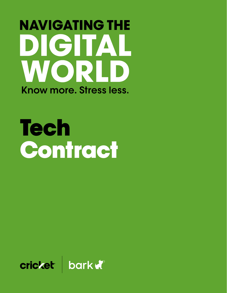# **NAVIGATING THE** DIGITAL WORLD Know more, Stress less.

Tech Contract

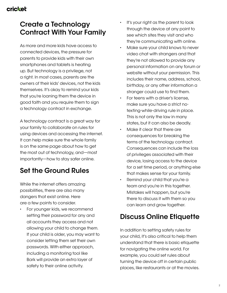#### **cricket**

## **Create a Technology Contract With Your Family**

As more and more kids have access to connected devices, the pressure for parents to provide kids with their own smartphones and tablets is heating up. But technology is a privilege, not a right. In most cases, parents are the owners of their kids' devices, not the kids themselves. It's okay to remind your kids that you're loaning them the device in good faith and you require them to sign a technology contract in exchange.

A technology contract is a great way for your family to collaborate on rules for using devices and accessing the internet. It can help make sure the whole family is on the same page about how to get the most out of technology, and—most importantly—how to stay safer online.

## **Set the Ground Rules**

While the internet offers amazing possibilities, there are also many dangers that exist online. Here are a few points to consider.

For younger kids, we recommend setting their password for any and all accounts they access and not allowing your child to change them. If your child is older, you may want to consider letting them set their own passwords. With either approach, including a monitoring tool like Bark will provide an extra layer of safety to their online activity.

- It's your right as the parent to look through the device at any point to see which sites they visit and who they're communicating with online.
- Make sure your child knows to never video chat with strangers and that they're not allowed to provide any personal information on any forum or website without your permission. This includes their name, address, school, birthday, or any other information a stranger could use to find them.
- For teens with a driver's license, make sure you have a strict notexting-while-driving rule in place. This is not only the law in many states, but it can also be deadly.
- Make it clear that there are consequences for breaking the terms of the technology contract. Consequences can include the loss of privileges associated with their device, losing access to the device for a set time period, or anything else that makes sense for your family.
- Remind your child that you're a team and you're in this together. Mistakes will happen, but you're there to discuss it with them so you can learn and grow together.

## **Discuss Online Etiquette**

In addition to setting safety rules for your child, it's also critical to help them understand that there is basic etiquette for navigating the online world. For example, you could set rules about turning the device off in certain public places, like restaurants or at the movies.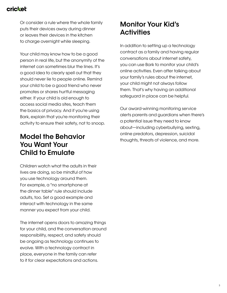#### **cricket**

Or consider a rule where the whole family puts their devices away during dinner or leaves their devices in the kitchen to charge overnight while sleeping.

Your child may know how to be a good person in real life, but the anonymity of the internet can sometimes blur the lines. It's a good idea to clearly spell out that they should never lie to people online. Remind your child to be a good friend who never promotes or shares hurtful messaging either. If your child is old enough to access social media sites, teach them the basics of privacy. And if you're using Bark, explain that you're monitoring their activity to ensure their safety, not to snoop.

### **Model the Behavior You Want Your Child to Emulate**

Children watch what the adults in their lives are doing, so be mindful of how you use technology around them. For example, a "no smartphone at the dinner table" rule should include adults, too. Set a good example and interact with technology in the same manner you expect from your child.

The internet opens doors to amazing things for your child, and the conversation around responsibility, respect, and safety should be ongoing as technology continues to evolve. With a technology contract in place, everyone in the family can refer to it for clear expectations and actions.

## **Monitor Your Kid's Activities**

In addition to setting up a technology contract as a family and having regular conversations about internet safety, you can use Bark to monitor your child's online activities. Even after talking about your family's rules about the internet, your child might not always follow them. That's why having an additional safeguard in place can be helpful.

Our award-winning monitoring service alerts parents and guardians when there's a potential issue they need to know about—including cyberbullying, sexting, online predators, depression, suicidal thoughts, threats of violence, and more.